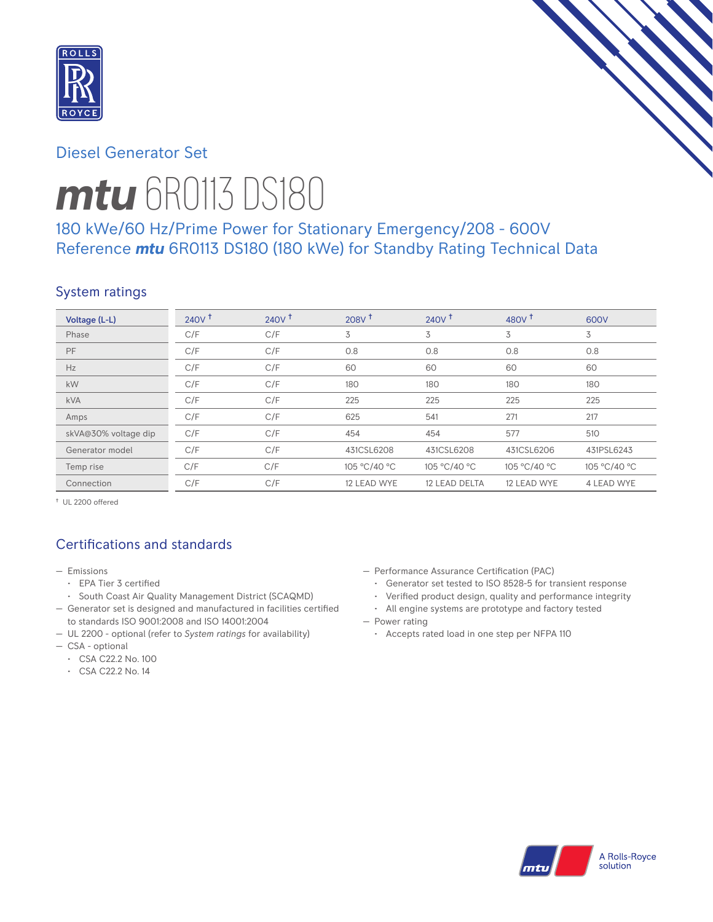

# Diesel Generator Set



# *mtu* 6R0113 DS180

# 180 kWe/60 Hz/Prime Power for Stationary Emergency/208 - 600V Reference *mtu* 6R0113 DS180 (180 kWe) for Standby Rating Technical Data

# System ratings

| Voltage (L-L)        | 240V <sup>†</sup> | $240V$ <sup>t</sup> | 208V <sup>†</sup> | $240V$ <sup>+</sup> | 480 $v†$     | 600V         |
|----------------------|-------------------|---------------------|-------------------|---------------------|--------------|--------------|
| Phase                | C/F               | C/F                 | 3                 | 3                   | 3            | 3            |
| PF                   | C/F               | C/F                 | 0.8               | 0.8                 | 0.8          | 0.8          |
| Hz                   | C/F               | C/F                 | 60                | 60                  | 60           | 60           |
| kW                   | C/F               | C/F                 | 180               | 180                 | 180          | 180          |
| <b>kVA</b>           | C/F               | C/F                 | 225               | 225                 | 225          | 225          |
| Amps                 | C/F               | C/F                 | 625               | 541                 | 271          | 217          |
| skVA@30% voltage dip | C/F               | C/F                 | 454               | 454                 | 577          | 510          |
| Generator model      | C/F               | C/F                 | 431CSL6208        | 431CSL6208          | 431CSL6206   | 431PSL6243   |
| Temp rise            | C/F               | C/F                 | 105 °C/40 °C      | 105 °C/40 °C        | 105 °C/40 °C | 105 °C/40 °C |
| Connection           | C/F               | C/F                 | 12 LEAD WYE       | 12 LEAD DELTA       | 12 LEAD WYE  | 4 LEAD WYE   |

† UL 2200 offered

# Certifications and standards

- Emissions
	- EPA Tier 3 certified
	- South Coast Air Quality Management District (SCAQMD)
- Generator set is designed and manufactured in facilities certified to standards ISO 9001:2008 and ISO 14001:2004
- UL 2200 optional (refer to *System ratings* for availability)
- CSA optional
	- CSA C22.2 No. 100
	- CSA C22.2 No. 14
- Performance Assurance Certification (PAC)
	- Generator set tested to ISO 8528-5 for transient response
	- Verified product design, quality and performance integrity
	- All engine systems are prototype and factory tested
- Power rating
	- Accepts rated load in one step per NFPA 110

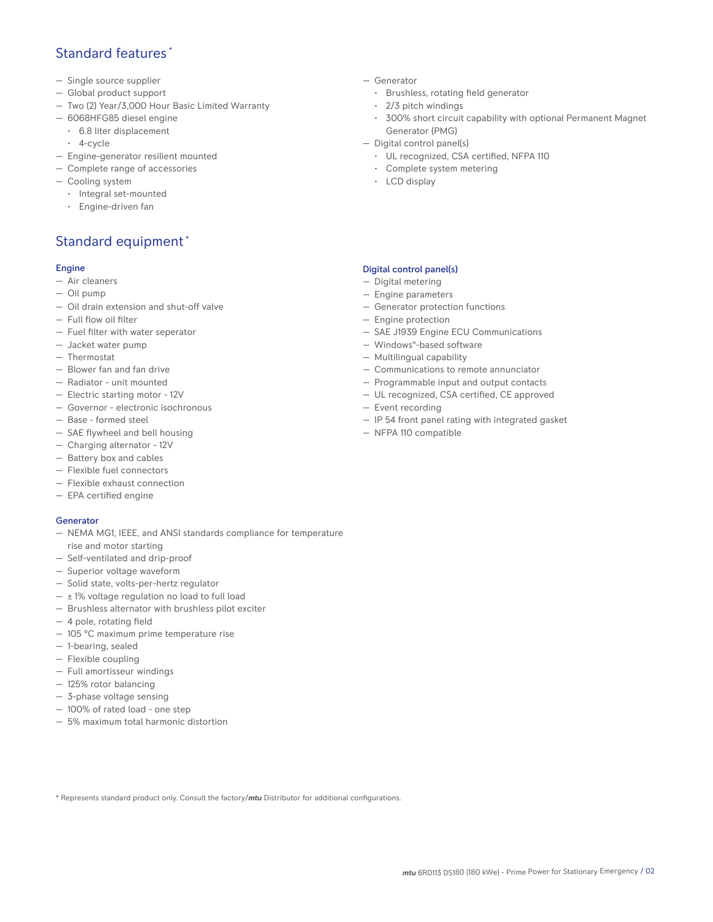## Standard features \*

- Single source supplier
- Global product support
- Two (2) Year/3,000 Hour Basic Limited Warranty
- 6068HFG85 diesel engine
	- 6.8 liter displacement
	- 4-cycle
- Engine-generator resilient mounted
- Complete range of accessories
- Cooling system
	- Integral set-mounted
	- Engine-driven fan

## Standard equipment \*

#### Engine

- Air cleaners
- Oil pump
- Oil drain extension and shut-off valve
- Full flow oil filter
- Fuel filter with water seperator
- Jacket water pump
- Thermostat
- Blower fan and fan drive
- Radiator unit mounted
- Electric starting motor 12V
- Governor electronic isochronous
- Base formed steel
- SAE flywheel and bell housing
- Charging alternator 12V
- Battery box and cables
- Flexible fuel connectors
- Flexible exhaust connection
- EPA certified engine

#### Generator

- NEMA MG1, IEEE, and ANSI standards compliance for temperature rise and motor starting
- Self-ventilated and drip-proof
- Superior voltage waveform
- Solid state, volts-per-hertz regulator
- $\pm$  1% voltage regulation no load to full load
- Brushless alternator with brushless pilot exciter
- 4 pole, rotating field
- 105 °C maximum prime temperature rise
- 1-bearing, sealed
- Flexible coupling
- Full amortisseur windings
- 125% rotor balancing
- 3-phase voltage sensing
- 100% of rated load one step
- 5% maximum total harmonic distortion
- Generator
	- Brushless, rotating field generator
	- 2/3 pitch windings
	- 300% short circuit capability with optional Permanent Magnet Generator (PMG)
- Digital control panel(s)
	- UL recognized, CSA certified, NFPA 110
	- Complete system metering
	- LCD display

### Digital control panel(s)

- Digital metering
- Engine parameters
- Generator protection functions
- Engine protection
- SAE J1939 Engine ECU Communications
- Windows®-based software
- Multilingual capability
- Communications to remote annunciator
- Programmable input and output contacts
- UL recognized, CSA certified, CE approved
- Event recording
- IP 54 front panel rating with integrated gasket
- NFPA 110 compatible

\* Represents standard product only. Consult the factory/*mtu* Distributor for additional configurations.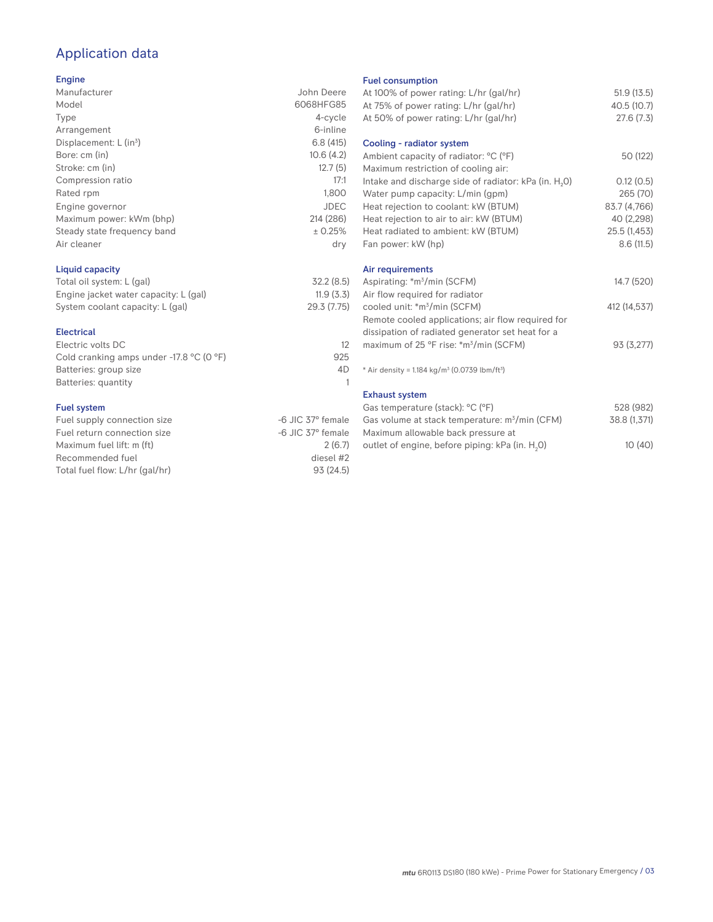# Application data

#### Engine

| Manufacturer                         | John Deere  |
|--------------------------------------|-------------|
| Model                                | 6068HFG85   |
| Type                                 | 4-cycle     |
| Arrangement                          | 6-inline    |
| Displacement: $L$ (in <sup>3</sup> ) | 6.8(415)    |
| Bore: cm (in)                        | 10.6(4.2)   |
| Stroke: cm (in)                      | 12.7(5)     |
| Compression ratio                    | 17:1        |
| Rated rpm                            | 1,800       |
| Engine governor                      | <b>JDEC</b> |
| Maximum power: kWm (bhp)             | 214 (286)   |
| Steady state frequency band          | ± 0.25%     |
| Air cleaner                          | dry         |
|                                      |             |

## Liquid capacity

| Total oil system: L (gal)             | 32.2(8.5)   |
|---------------------------------------|-------------|
| Engine jacket water capacity: L (gal) | 11.9(3.3)   |
| System coolant capacity: L (gal)      | 29.3 (7.75) |

#### Electrical

| Electric volts DC                                            |     |
|--------------------------------------------------------------|-----|
| Cold cranking amps under -17.8 $^{\circ}$ C (O $^{\circ}$ F) | 925 |
| Batteries: group size                                        | 4D  |
| Batteries: quantity                                          |     |
|                                                              |     |

#### Fuel system

| Fuel supply connection size    | -6 JIC 37° female |
|--------------------------------|-------------------|
| Fuel return connection size    | -6 JIC 37° female |
| Maximum fuel lift: m (ft)      | 2(6.7)            |
| Recommended fuel               | diesel #2         |
| Total fuel flow: L/hr (gal/hr) | 93(24.5)          |

#### Fuel consumption

| ו טטוויטטווואַנוטוו<br>At 100% of power rating: L/hr (gal/hr)        | 51.9(13.5)   |
|----------------------------------------------------------------------|--------------|
| At 75% of power rating: L/hr (gal/hr)                                | 40.5 (10.7)  |
| At 50% of power rating: L/hr (gal/hr)                                | 27.6(7.3)    |
|                                                                      |              |
| Cooling - radiator system                                            |              |
| Ambient capacity of radiator: °C (°F)                                | 50 (122)     |
| Maximum restriction of cooling air:                                  |              |
| Intake and discharge side of radiator: kPa (in. H <sub>2</sub> O)    | 0.12(0.5)    |
| Water pump capacity: L/min (gpm)                                     | 265 (70)     |
| Heat rejection to coolant: kW (BTUM)                                 | 83.7 (4,766) |
| Heat rejection to air to air: kW (BTUM)                              | 40 (2,298)   |
| Heat radiated to ambient: kW (BTUM)                                  | 25.5 (1,453) |
| Fan power: kW (hp)                                                   | 8.6(11.5)    |
|                                                                      |              |
| Air requirements                                                     |              |
| Aspirating: *m <sup>3</sup> /min (SCFM)                              | 14.7 (520)   |
| Air flow required for radiator                                       |              |
| cooled unit: *m <sup>3</sup> /min (SCFM)                             | 412 (14,537) |
| Remote cooled applications; air flow required for                    |              |
| dissipation of radiated generator set heat for a                     |              |
| maximum of 25 °F rise: *m <sup>3</sup> /min (SCFM)                   | 93 (3,277)   |
| * Air density = $1.184 \text{ kg/m}^3$ (0.0739 lbm/ft <sup>3</sup> ) |              |
|                                                                      |              |
| <b>Exhaust system</b>                                                |              |
| Gas temperature (stack): °C (°F)                                     | 528 (982)    |
| Gas volume at stack temperature: m <sup>3</sup> /min (CFM)           | 38.8 (1,371) |
| Maximum allowable back pressure at                                   |              |
| outlet of engine, before piping: kPa (in. H <sub>2</sub> 0)          | 10(40)       |
|                                                                      |              |